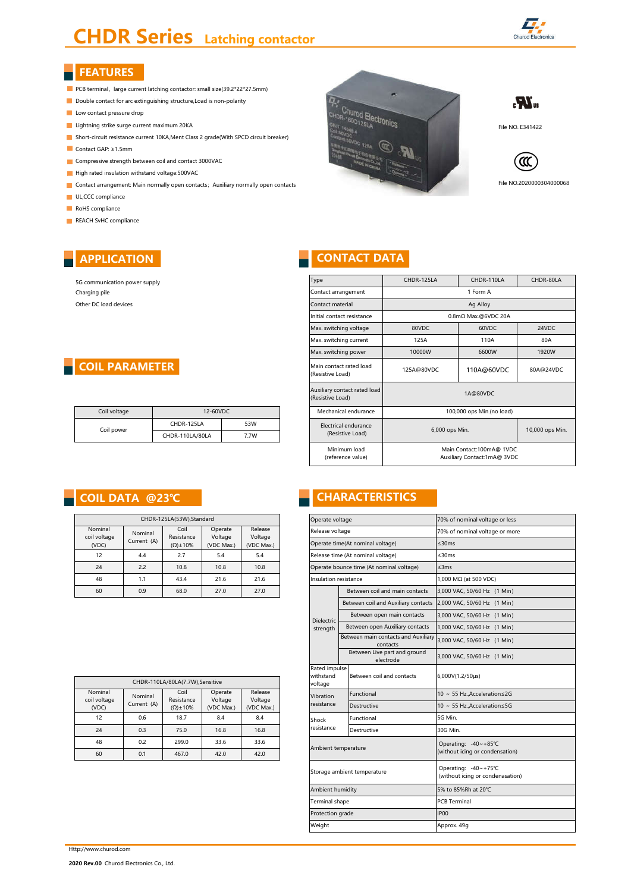# **CHDR Series** Latching contactor



# **FEATURES**

- PCB terminal, large current latching contactor: small size(39.2\*22\*27.5mm)
- Double contact for arc extinguishing structure, Load is non-polarity
- Low contact pressure drop
- 
- Short-circuit resistance current 10KA,Ment Class 2 grade(With SPCD circuit breaker)
- Contact GAP: ≥1.5mm
- **Compressive strength between coil and contact 3000VAC**
- High rated insulation withstand voltage: 500 VAC
- Contact arrangement: Main normally open contacts; Auxiliary normally open contacts
- **UL,CCC** compliance
- RoHS compliance
- REACH SvHC compliance

# Lightning strike surge current maximum 20KA<br>
Lightning strike surge current maximum 20KA File NO. E341422<br>
File NO. E341422







File NO.2020000304000068

# **CONTACT DATA**

| 5G communication power supply |
|-------------------------------|
| Charging pile                 |
| Other DC load devices         |

**APPLICATION**

# **COIL PARAMETER**

| Coil voltage | 12-60VDC        |      |  |  |
|--------------|-----------------|------|--|--|
| Coil power   | CHDR-125LA      | 53W  |  |  |
|              | CHDR-110LA/80LA | 7.7W |  |  |

| CHDR-125LA(53W), Standard        |                                                                     |      |                                  |                                  |  |  |  |
|----------------------------------|---------------------------------------------------------------------|------|----------------------------------|----------------------------------|--|--|--|
| Nominal<br>coil voltage<br>(VDC) | Coil<br>Nominal<br>Resistance<br>Current (A)<br>$(\Omega) \pm 10\%$ |      | Operate<br>Voltage<br>(VDC Max.) | Release<br>Voltage<br>(VDC Max.) |  |  |  |
| 12                               | 4.4                                                                 |      | 5.4                              | 5.4                              |  |  |  |
| 24                               | 2.2                                                                 | 10.8 | 10.8                             | 10.8                             |  |  |  |
| 48                               | 1.1                                                                 | 43.4 | 21.6                             | 21.6                             |  |  |  |
| 60                               | 0.9                                                                 | 68.0 | 27.0                             | 27.0                             |  |  |  |

| CHDR-110LA/80LA(7.7W),Sensitive  |                        |                                           |                                  |                                  |  |  |  |
|----------------------------------|------------------------|-------------------------------------------|----------------------------------|----------------------------------|--|--|--|
| Nominal<br>coil voltage<br>(VDC) | Nominal<br>Current (A) | Coil<br>Resistance<br>$(\Omega) \pm 10\%$ | Operate<br>Voltage<br>(VDC Max.) | Release<br>Voltage<br>(VDC Max.) |  |  |  |
| 12                               | 0.6                    | 18.7                                      | 8.4                              | 8.4                              |  |  |  |
| 24                               | 0.3                    | 75.0                                      | 16.8                             | 16.8                             |  |  |  |
| 48                               | 0.2                    | 299.0                                     | 33.6                             | 33.6                             |  |  |  |
| 60                               | 0.1                    | 467.0                                     | 42.0                             | 42.0                             |  |  |  |

| Type                                             | CHDR-125LA                                              | CHDR-110LA          | CHDR-80LA |  |
|--------------------------------------------------|---------------------------------------------------------|---------------------|-----------|--|
| Contact arrangement                              |                                                         | 1 Form A            |           |  |
| Contact material                                 |                                                         | Ag Alloy            |           |  |
| Initial contact resistance                       |                                                         | 0.8mΩ Max.@6VDC 20A |           |  |
| Max. switching voltage                           | 80VDC                                                   | 60VDC               | 24VDC     |  |
| Max. switching current                           | 125A                                                    | 110A                | 80A       |  |
| Max. switching power                             | 10000W                                                  | 6600W               | 1920W     |  |
| Main contact rated load<br>(Resistive Load)      | 125A@80VDC                                              | 110A@60VDC          | 80A@24VDC |  |
| Auxiliary contact rated load<br>(Resistive Load) | 1A@80VDC                                                |                     |           |  |
| Mechanical endurance                             | 100,000 ops Min.(no load)                               |                     |           |  |
| Electrical endurance<br>(Resistive Load)         | 6,000 ops Min.                                          | 10,000 ops Min.     |           |  |
| Minimum load<br>(reference value)                | Main Contact:100mA@ 1VDC<br>Auxiliary Contact:1mA@ 3VDC |                     |           |  |

# **COIL DATA @23℃ CHARACTERISTICS**

| CHDR-125LA(53W), Standard |                        | Operate voltage                 |                    | 70% of nominal voltage or less |                            |                                                 |                                                          |
|---------------------------|------------------------|---------------------------------|--------------------|--------------------------------|----------------------------|-------------------------------------------------|----------------------------------------------------------|
| minal<br>voltage          | Nominal                | Coil<br>Resistance              | Operate<br>Voltage | Release<br>Voltage             | Release voltage            |                                                 | 70% of nominal voltage or more                           |
| (DC                       | Current (A)            | $(\Omega) \pm 10\%$             | (VDC Max.)         | (VDC Max.)                     |                            | Operate time(At nominal voltage)                | $\leq$ 30ms                                              |
| 12                        | 4.4                    | 2.7                             | 5.4                | 5.4                            |                            | Release time (At nominal voltage)               | $\leq$ 30 $ms$                                           |
| 24                        | 2.2                    | 10.8                            | 10.8               | 10.8                           |                            | Operate bounce time (At nominal voltage)        | $<$ 3 $ms$                                               |
| 48                        | 1.1                    | 43.4                            | 21.6               | 21.6                           | Insulation resistance      |                                                 | 1,000 MΩ (at 500 VDC)                                    |
| 60                        | 0.9                    | 68.0                            | 27.0               | 27.0                           |                            | Between coil and main contacts                  | 3,000 VAC, 50/60 Hz (1 Min)                              |
|                           |                        |                                 |                    |                                |                            | Between coil and Auxiliary contacts             | 2,000 VAC, 50/60 Hz (1 Min)                              |
|                           |                        |                                 |                    |                                | Dielectric                 | Between open main contacts                      | 3,000 VAC, 50/60 Hz (1 Min)                              |
|                           |                        |                                 |                    |                                | strength                   | Between open Auxiliary contacts                 | 1,000 VAC, 50/60 Hz (1 Min)                              |
|                           |                        |                                 |                    |                                |                            | Between main contacts and Auxiliary<br>contacts | 3,000 VAC, 50/60 Hz (1 Min)                              |
|                           |                        |                                 |                    |                                |                            | Between Live part and ground<br>electrode       | 3,000 VAC, 50/60 Hz (1 Min)                              |
|                           |                        | CHDR-110LA/80LA(7.7W),Sensitive |                    |                                | Rated impulse<br>withstand | Between coil and contacts                       | 6,000V(1.2/50µs)                                         |
| minal                     |                        | Coil                            | Operate            | Release                        | voltage                    | Functional                                      | 10 ~ 55 Hz., Acceleration ≤2G                            |
| voltage                   | Nominal<br>Current (A) | Resistance                      | Voltage            | Voltage                        | Vibration<br>resistance    | Destructive                                     | 10 ~ 55 Hz., Acceleration ≤5G                            |
| 'DC)                      |                        | $(\Omega) \pm 10\%$             | (VDC Max.)         | (VDC Max.)                     |                            |                                                 |                                                          |
| 12 <sup>2</sup>           | 0.6                    | 18.7                            | 8.4                | 8.4                            | Shock<br>resistance        | Functional                                      | 5G Min.                                                  |
| 24                        | 0.3                    | 75.0                            | 16.8               | 16.8                           |                            | Destructive                                     | 30G Min.                                                 |
| 48                        | 0.2                    | 299.0                           | 33.6               | 33.6                           | Ambient temperature        |                                                 | Operating: -40~+85°C                                     |
| 60                        | 0.1                    | 467.0                           | 42.0               | 42.0                           |                            |                                                 | (without icing or condensation)                          |
|                           |                        |                                 |                    |                                |                            | Storage ambient temperature                     | Operating: -40~+75°C<br>(without icing or condenasation) |
|                           |                        |                                 |                    |                                | Ambient humidity           |                                                 | 5% to 85%Rh at 20°C                                      |
|                           |                        |                                 |                    |                                | Terminal shape             |                                                 | <b>PCB Terminal</b>                                      |
|                           |                        |                                 |                    |                                | Protection grade           |                                                 | <b>IP00</b>                                              |
|                           |                        |                                 |                    |                                | Weight                     |                                                 | Approx. 49q                                              |
|                           |                        |                                 |                    |                                |                            |                                                 |                                                          |

Http://www.churod.com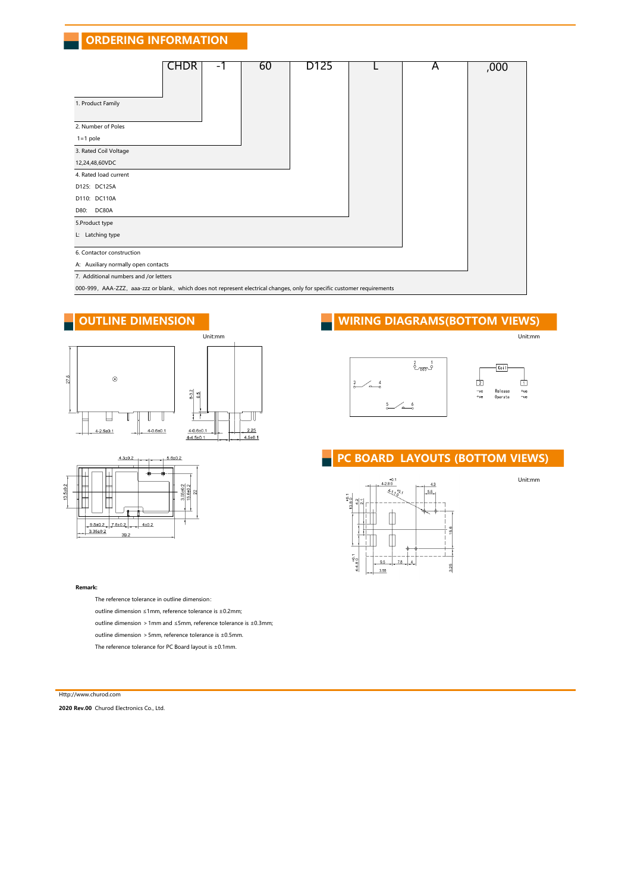# **ORDERING INFORMATION**

| <b>CHDR</b><br>-1                                                                                                        | 60 | D125 |  | A | ,000 |  |
|--------------------------------------------------------------------------------------------------------------------------|----|------|--|---|------|--|
| 1. Product Family                                                                                                        |    |      |  |   |      |  |
| 2. Number of Poles                                                                                                       |    |      |  |   |      |  |
| $1 = 1$ pole                                                                                                             |    |      |  |   |      |  |
| 3. Rated Coil Voltage                                                                                                    |    |      |  |   |      |  |
| 12,24,48,60VDC                                                                                                           |    |      |  |   |      |  |
| 4. Rated load current                                                                                                    |    |      |  |   |      |  |
| D125: DC125A                                                                                                             |    |      |  |   |      |  |
| D110: DC110A                                                                                                             |    |      |  |   |      |  |
| DC80A<br>D80:                                                                                                            |    |      |  |   |      |  |
| 5.Product type                                                                                                           |    |      |  |   |      |  |
| L: Latching type                                                                                                         |    |      |  |   |      |  |
| 6. Contactor construction                                                                                                |    |      |  |   |      |  |
| A: Auxiliary normally open contacts                                                                                      |    |      |  |   |      |  |
| 7. Additional numbers and /or letters                                                                                    |    |      |  |   |      |  |
| 000-999, AAA-ZZZ, aaa-zzz or blank, which does not represent electrical changes, only for specific customer requirements |    |      |  |   |      |  |

 $4.3 \pm 0.2$ 

 $\begin{array}{|c|c|c|c|c|c|}\n\hline\n9.5\pm0.2 & 7.8\pm0.2 & 4\pm0.2 \\
\hline\n3.35\pm0.2 & 20.2 & & \n\end{array}$  $39.2$ 



 $-1, 5.6 \pm 0.2$  $\rightarrow$ ė

 $\frac{0510.2}{5.610.2}$ 







# **PC BOARD LAYOUTS (BOTTOM VIEWS)**



Unit:mm

## **Remark:**

The reference tolerance in outline dimension:

outline dimension ≤1mm, reference tolerance is ±0.2mm;

outline dimension >1mm and ≤5mm, reference tolerance is ±0.3mm;

outline dimension >5mm, reference tolerance is ±0.5mm.

The reference tolerance for PC Board layout is ±0.1mm.

Http://www.churod.com

**2020 Rev.00** Churod Electronics Co., Ltd.